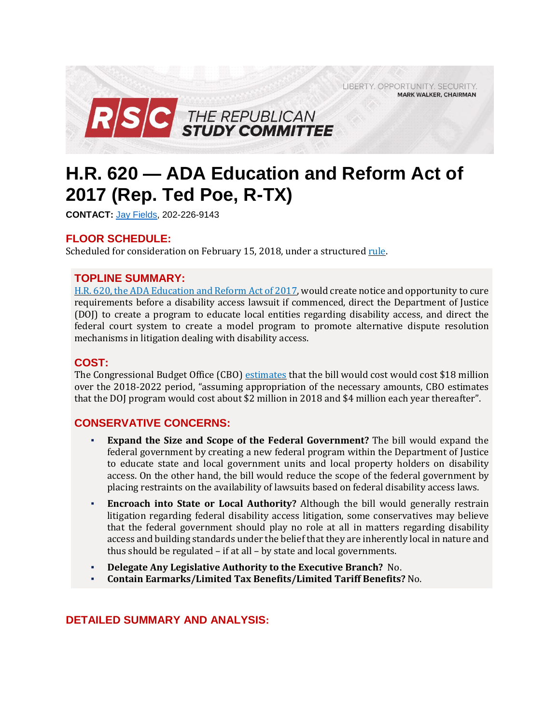LIBERTY. OPPORTUNITY. SECURITY. **MARK WALKER, CHAIRMAN** 



# **H.R. 620 — ADA Education and Reform Act of 2017 (Rep. Ted Poe, R-TX)**

**CONTACT:** Jay [Fields,](mailto:jay.fields@mail.house.gov) 202-226-9143

# **FLOOR SCHEDULE:**

Scheduled for consideration on February 15, 2018, under a structured [rule.](https://rules.house.gov/sites/republicans.rules.house.gov/files/Rule_HR3978HR3299HR620.pdf)

# **TOPLINE SUMMARY:**

H.R. 620, the ADA [Education](https://www.gpo.gov/fdsys/pkg/BILLS-115hr620rh/pdf/BILLS-115hr620rh.pdf) and Reform Act of 2017, would create notice and opportunity to cure requirements before a disability access lawsuit if commenced, direct the Department of Justice (DOJ) to create a program to educate local entities regarding disability access, and direct the federal court system to create a model program to promote alternative dispute resolution mechanisms in litigation dealing with disability access.

## **COST:**

The Congressional Budget Office (CBO) [estimates](https://www.cbo.gov/system/files/115th-congress-2017-2018/costestimate/hr620.pdf) that the bill would cost would cost \$18 million over the 2018-2022 period, "assuming appropriation of the necessary amounts, CBO estimates that the DOJ program would cost about \$2 million in 2018 and \$4 million each year thereafter".

# **CONSERVATIVE CONCERNS:**

- **Expand the Size and Scope of the Federal Government?** The bill would expand the federal government by creating a new federal program within the Department of Justice to educate state and local government units and local property holders on disability access. On the other hand, the bill would reduce the scope of the federal government by placing restraints on the availability of lawsuits based on federal disability access laws.
- **Encroach into State or Local Authority?** Although the bill would generally restrain litigation regarding federal disability access litigation, some conservatives may believe that the federal government should play no role at all in matters regarding disability access and building standards under the belief that they are inherently local in nature and thus should be regulated – if at all – by state and local governments.
- **Delegate Any Legislative Authority to the Executive Branch?** No.
- **Contain Earmarks/Limited Tax Benefits/Limited Tariff Benefits?** No.

# **DETAILED SUMMARY AND ANALYSIS:**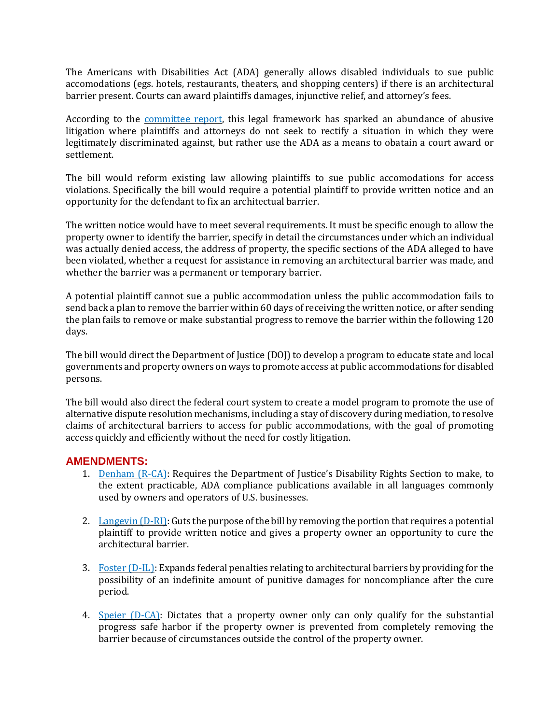The Americans with Disabilities Act (ADA) generally allows disabled individuals to sue public accomodations (egs. hotels, restaurants, theaters, and shopping centers) if there is an architectural barrier present. Courts can award plaintiffs damages, injunctive relief, and attorney's fees.

According to the [committee](https://www.congress.gov/115/crpt/hrpt539/CRPT-115hrpt539.pdf) report, this legal framework has sparked an abundance of abusive litigation where plaintiffs and attorneys do not seek to rectify a situation in which they were legitimately discriminated against, but rather use the ADA as a means to obatain a court award or settlement.

The bill would reform existing law allowing plaintiffs to sue public accomodations for access violations. Specifically the bill would require a potential plaintiff to provide written notice and an opportunity for the defendant to fix an architectual barrier.

The written notice would have to meet several requirements. It must be specific enough to allow the property owner to identify the barrier, specify in detail the circumstances under which an individual was actually denied access, the address of property, the specific sections of the ADA alleged to have been violated, whether a request for assistance in removing an architectural barrier was made, and whether the barrier was a permanent or temporary barrier.

A potential plaintiff cannot sue a public accommodation unless the public accommodation fails to send back a plan to remove the barrier within 60 days of receiving the written notice, or after sending the plan fails to remove or make substantial progress to remove the barrier within the following 120 days.

The bill would direct the Department of Justice (DOJ) to develop a program to educate state and local governments and property owners on ways to promote access at public accommodations for disabled persons.

The bill would also direct the federal court system to create a model program to promote the use of alternative dispute resolution mechanisms, including a stay of discovery during mediation, to resolve claims of architectural barriers to access for public accommodations, with the goal of promoting access quickly and efficiently without the need for costly litigation.

#### **AMENDMENTS:**

- 1. [Denham](https://amendments-rules.house.gov/amendments/DENHAM_045213181213171317.pdf) (R-CA): Requires the Department of Justice's Disability Rights Section to make, to the extent practicable, ADA compliance publications available in all languages commonly used by owners and operators of U.S. businesses.
- 2. [Langevin](https://amendments-rules.house.gov/amendments/JP_00621218113800380.pdf)  $(D-RI)$ : Guts the purpose of the bill by removing the portion that requires a potential plaintiff to provide written notice and gives a property owner an opportunity to cure the architectural barrier.
- 3. Foster  $(D-L)$ : Expands federal penalties relating to architectural barriers by providing for the possibility of an indefinite amount of punitive damages for noncompliance after the cure period.
- 4. Speier [\(D-CA\):](https://amendments-rules.house.gov/amendments/SPEIER_102_xml212181439243924.pdf) Dictates that a property owner only can only qualify for the substantial progress safe harbor if the property owner is prevented from completely removing the barrier because of circumstances outside the control of the property owner.